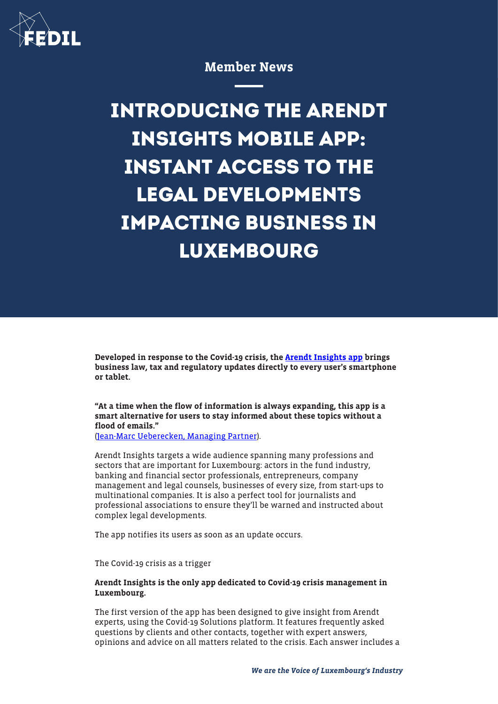

# Member News

**INTRODUCING THE ARENDT INSIGHTS MOBILE APP: INSTANT ACCESS TO THE LEGAL DEVELOPMENTS IMPACTING BUSINESS IN LUXEMBOURG**

Developed in response to the Covid-19 crisis, the [Arendt Insights app](https://apps.apple.com/lu/app/arendt-insights/id1506580191) brings business law, tax and regulatory updates directly to every user's smartphone or tablet.

"At a time when the flow of information is always expanding, this app is a smart alternative for users to stay informed about these topics without a flood of emails."

[\(Jean-Marc Ueberecken, Managing Partner](https://www.arendt.com/jcms/gen_8166/en/jean-marc-ueberecken)).

Arendt Insights targets a wide audience spanning many professions and sectors that are important for Luxembourg: actors in the fund industry, banking and financial sector professionals, entrepreneurs, company management and legal counsels, businesses of every size, from start-ups to multinational companies. It is also a perfect tool for journalists and professional associations to ensure they'll be warned and instructed about complex legal developments.

The app notifies its users as soon as an update occurs.

The Covid-19 crisis as a trigger

## Arendt Insights is the only app dedicated to Covid-19 crisis management in Luxembourg.

The first version of the app has been designed to give insight from Arendt experts, using the Covid-19 Solutions platform. It features frequently asked questions by clients and other contacts, together with expert answers, opinions and advice on all matters related to the crisis. Each answer includes a